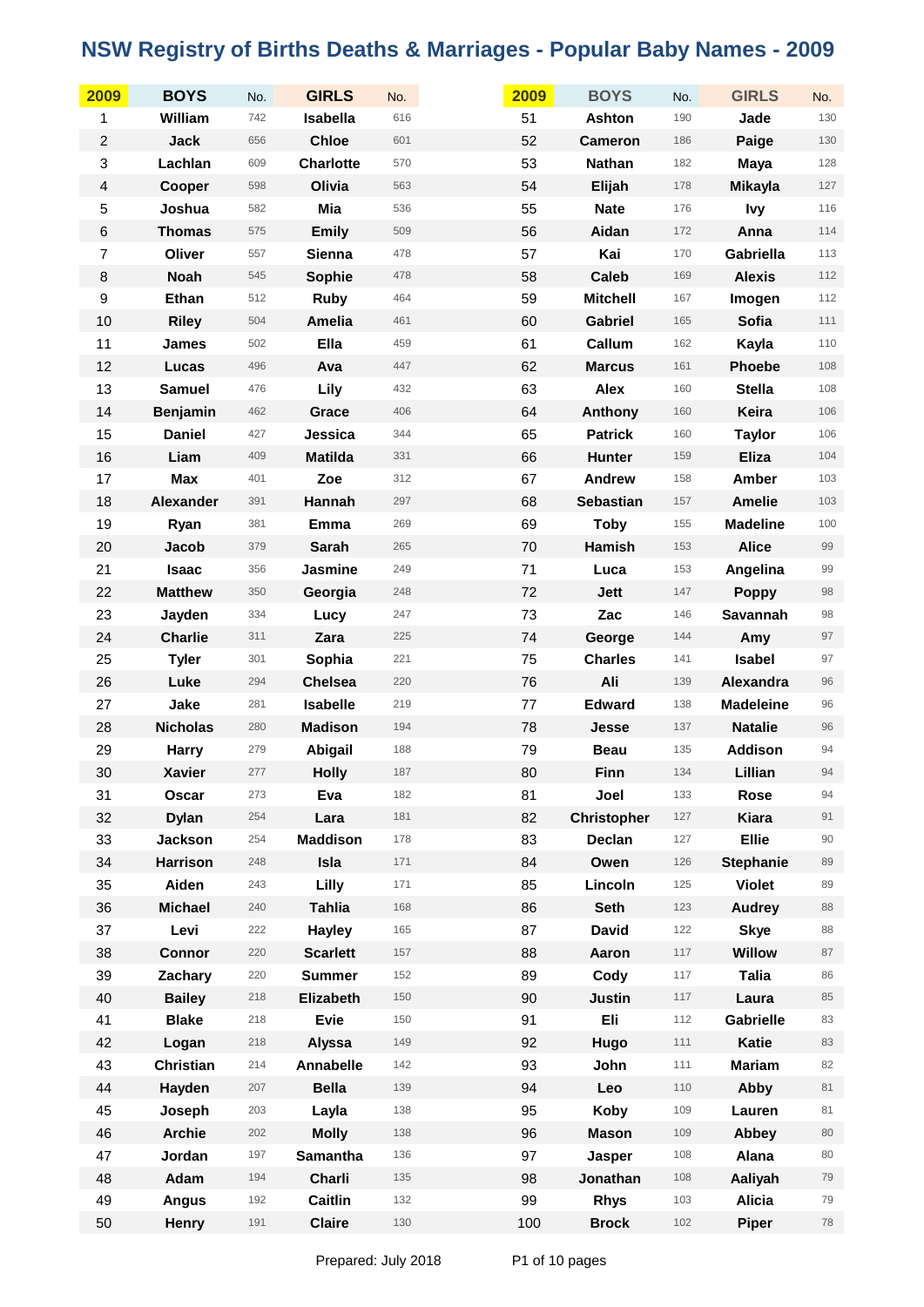| 2009                    | <b>BOYS</b>      | No. | <b>GIRLS</b>     | No. | 2009 | <b>BOYS</b>        | No. | <b>GIRLS</b>     | No.   |
|-------------------------|------------------|-----|------------------|-----|------|--------------------|-----|------------------|-------|
| 1                       | William          | 742 | Isabella         | 616 | 51   | <b>Ashton</b>      | 190 | Jade             | 130   |
| $\boldsymbol{2}$        | <b>Jack</b>      | 656 | <b>Chloe</b>     | 601 | 52   | <b>Cameron</b>     | 186 | Paige            | 130   |
| $\,$ 3 $\,$             | Lachlan          | 609 | <b>Charlotte</b> | 570 | 53   | Nathan             | 182 | <b>Maya</b>      | 128   |
| $\overline{\mathbf{4}}$ | Cooper           | 598 | Olivia           | 563 | 54   | Elijah             | 178 | <b>Mikayla</b>   | 127   |
| 5                       | Joshua           | 582 | Mia              | 536 | 55   | <b>Nate</b>        | 176 | <b>Ivy</b>       | 116   |
| $\,6$                   | <b>Thomas</b>    | 575 | <b>Emily</b>     | 509 | 56   | Aidan              | 172 | Anna             | $114$ |
| $\overline{7}$          | Oliver           | 557 | Sienna           | 478 | 57   | Kai                | 170 | Gabriella        | 113   |
| $\bf 8$                 | <b>Noah</b>      | 545 | Sophie           | 478 | 58   | <b>Caleb</b>       | 169 | <b>Alexis</b>    | 112   |
| $\boldsymbol{9}$        | Ethan            | 512 | Ruby             | 464 | 59   | <b>Mitchell</b>    | 167 | Imogen           | 112   |
| 10                      | <b>Riley</b>     | 504 | Amelia           | 461 | 60   | <b>Gabriel</b>     | 165 | Sofia            | 111   |
| 11                      | <b>James</b>     | 502 | Ella             | 459 | 61   | Callum             | 162 | Kayla            | 110   |
| 12                      | Lucas            | 496 | Ava              | 447 | 62   | <b>Marcus</b>      | 161 | Phoebe           | 108   |
| 13                      | <b>Samuel</b>    | 476 | Lily             | 432 | 63   | Alex               | 160 | <b>Stella</b>    | 108   |
| 14                      | <b>Benjamin</b>  | 462 | Grace            | 406 | 64   | Anthony            | 160 | Keira            | 106   |
| 15                      | <b>Daniel</b>    | 427 | Jessica          | 344 | 65   | <b>Patrick</b>     | 160 | <b>Taylor</b>    | 106   |
| 16                      | Liam             | 409 | <b>Matilda</b>   | 331 | 66   | <b>Hunter</b>      | 159 | <b>Eliza</b>     | 104   |
| 17                      | <b>Max</b>       | 401 | Zoe              | 312 | 67   | <b>Andrew</b>      | 158 | Amber            | 103   |
| 18                      | Alexander        | 391 | Hannah           | 297 | 68   | <b>Sebastian</b>   | 157 | <b>Amelie</b>    | 103   |
| 19                      | Ryan             | 381 | Emma             | 269 | 69   | <b>Toby</b>        | 155 | <b>Madeline</b>  | 100   |
| 20                      | Jacob            | 379 | <b>Sarah</b>     | 265 | 70   | Hamish             | 153 | <b>Alice</b>     | 99    |
| 21                      | <b>Isaac</b>     | 356 | Jasmine          | 249 | 71   | Luca               | 153 | Angelina         | 99    |
| 22                      | <b>Matthew</b>   | 350 | Georgia          | 248 | 72   | <b>Jett</b>        | 147 | <b>Poppy</b>     | 98    |
| 23                      | Jayden           | 334 | Lucy             | 247 | 73   | Zac                | 146 | Savannah         | 98    |
| 24                      | <b>Charlie</b>   | 311 | Zara             | 225 | 74   | George             | 144 | Amy              | 97    |
| 25                      | <b>Tyler</b>     | 301 | Sophia           | 221 | 75   | <b>Charles</b>     | 141 | <b>Isabel</b>    | 97    |
| 26                      | Luke             | 294 | <b>Chelsea</b>   | 220 | 76   | Ali                | 139 | Alexandra        | 96    |
| 27                      | Jake             | 281 | Isabelle         | 219 | 77   | <b>Edward</b>      | 138 | <b>Madeleine</b> | 96    |
| 28                      | <b>Nicholas</b>  | 280 | <b>Madison</b>   | 194 | 78   | Jesse              | 137 | <b>Natalie</b>   | 96    |
| 29                      | <b>Harry</b>     | 279 | Abigail          | 188 | 79   | <b>Beau</b>        | 135 | <b>Addison</b>   | 94    |
| 30                      | <b>Xavier</b>    | 277 | <b>Holly</b>     | 187 | 80   | Finn               | 134 | Lillian          | 94    |
| 31                      | Oscar            | 273 | Eva              | 182 | 81   | Joel               | 133 | Rose             | 94    |
| 32                      | <b>Dylan</b>     | 254 | Lara             | 181 | 82   | <b>Christopher</b> | 127 | Kiara            | 91    |
| 33                      | <b>Jackson</b>   | 254 | <b>Maddison</b>  | 178 | 83   | Declan             | 127 | <b>Ellie</b>     | 90    |
| 34                      | <b>Harrison</b>  | 248 | Isla             | 171 | 84   | Owen               | 126 | <b>Stephanie</b> | 89    |
| 35                      | Aiden            | 243 | Lilly            | 171 | 85   | Lincoln            | 125 | <b>Violet</b>    | 89    |
| 36                      | <b>Michael</b>   | 240 | <b>Tahlia</b>    | 168 | 86   | <b>Seth</b>        | 123 | <b>Audrey</b>    | 88    |
| 37                      | Levi             | 222 | <b>Hayley</b>    | 165 | 87   | <b>David</b>       | 122 | <b>Skye</b>      | 88    |
| 38                      | <b>Connor</b>    | 220 | <b>Scarlett</b>  | 157 | 88   | Aaron              | 117 | <b>Willow</b>    | 87    |
| 39                      | Zachary          | 220 | <b>Summer</b>    | 152 | 89   | Cody               | 117 | <b>Talia</b>     | 86    |
| 40                      | <b>Bailey</b>    | 218 | Elizabeth        | 150 | 90   | <b>Justin</b>      | 117 | Laura            | 85    |
| 41                      | <b>Blake</b>     | 218 | Evie             | 150 | 91   | <b>Eli</b>         | 112 | <b>Gabrielle</b> | 83    |
| 42                      | Logan            | 218 | Alyssa           | 149 | 92   | Hugo               | 111 | <b>Katie</b>     | 83    |
| 43                      | <b>Christian</b> | 214 | Annabelle        | 142 | 93   | John               | 111 | <b>Mariam</b>    | 82    |
| 44                      | Hayden           | 207 | <b>Bella</b>     | 139 | 94   | Leo                | 110 | Abby             | 81    |
| 45                      | Joseph           | 203 | Layla            | 138 | 95   | <b>Koby</b>        | 109 | Lauren           | 81    |
| 46                      | <b>Archie</b>    | 202 | <b>Molly</b>     | 138 | 96   | <b>Mason</b>       | 109 | Abbey            | 80    |
| 47                      | Jordan           | 197 | Samantha         | 136 | 97   | Jasper             | 108 | Alana            | 80    |
| 48                      | Adam             | 194 | Charli           | 135 | 98   | Jonathan           | 108 | Aaliyah          | 79    |
| 49                      | Angus            | 192 | Caitlin          | 132 | 99   | <b>Rhys</b>        | 103 | <b>Alicia</b>    | 79    |
| 50                      | Henry            | 191 | <b>Claire</b>    | 130 | 100  | <b>Brock</b>       | 102 | Piper            | 78    |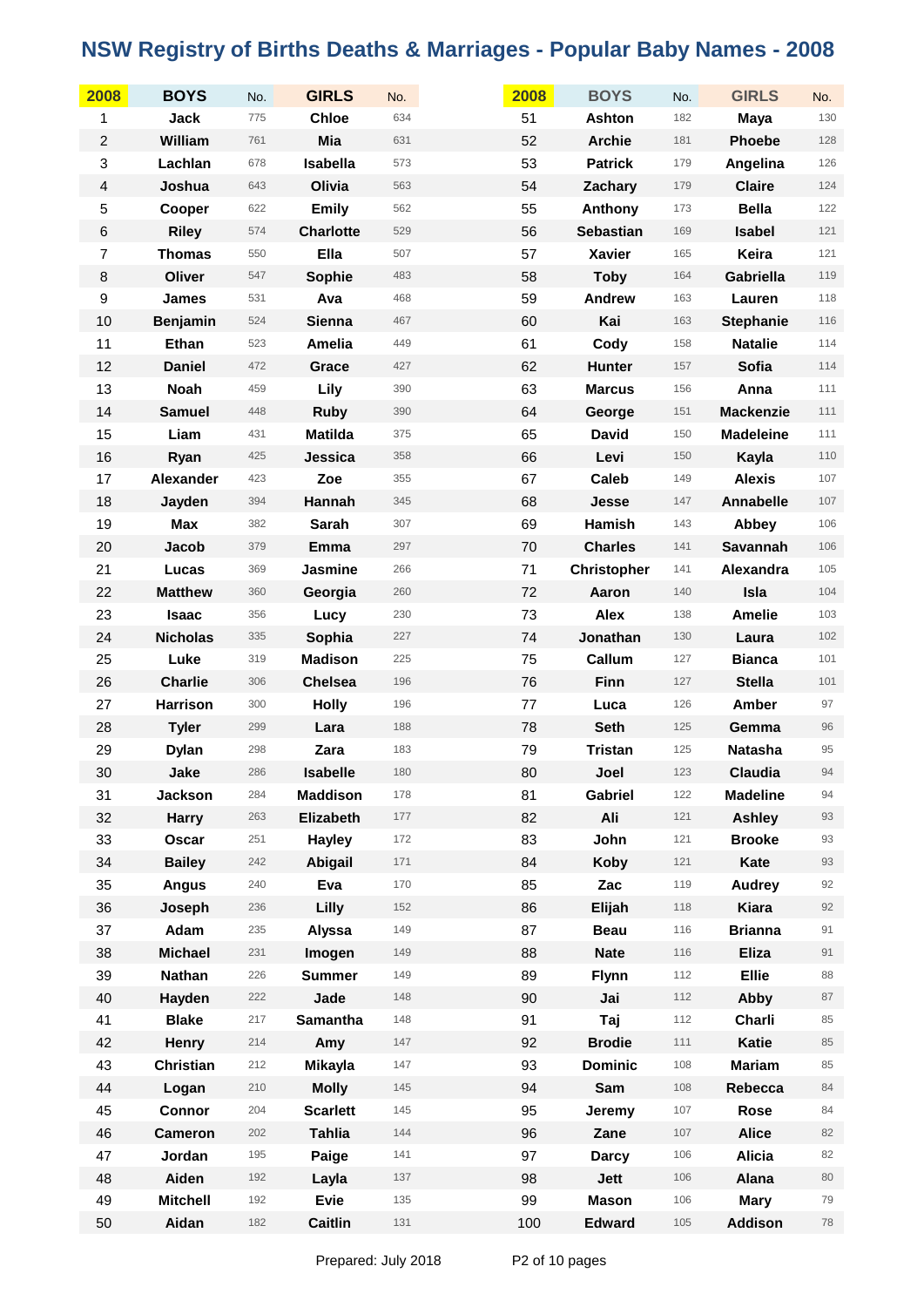| 2008           | <b>BOYS</b>     | No. | <b>GIRLS</b>     | No. | 2008 | <b>BOYS</b>        | No. | <b>GIRLS</b>     | No. |
|----------------|-----------------|-----|------------------|-----|------|--------------------|-----|------------------|-----|
| 1              | <b>Jack</b>     | 775 | <b>Chloe</b>     | 634 | 51   | Ashton             | 182 | <b>Maya</b>      | 130 |
| $\overline{c}$ | William         | 761 | Mia              | 631 | 52   | <b>Archie</b>      | 181 | <b>Phoebe</b>    | 128 |
| 3              | Lachlan         | 678 | Isabella         | 573 | 53   | <b>Patrick</b>     | 179 | Angelina         | 126 |
| 4              | Joshua          | 643 | Olivia           | 563 | 54   | Zachary            | 179 | <b>Claire</b>    | 124 |
| 5              | Cooper          | 622 | <b>Emily</b>     | 562 | 55   | Anthony            | 173 | <b>Bella</b>     | 122 |
| $\,6$          | <b>Riley</b>    | 574 | <b>Charlotte</b> | 529 | 56   | <b>Sebastian</b>   | 169 | <b>Isabel</b>    | 121 |
| $\overline{7}$ | <b>Thomas</b>   | 550 | Ella             | 507 | 57   | <b>Xavier</b>      | 165 | Keira            | 121 |
| $\bf 8$        | Oliver          | 547 | Sophie           | 483 | 58   | <b>Toby</b>        | 164 | Gabriella        | 119 |
| 9              | James           | 531 | Ava              | 468 | 59   | Andrew             | 163 | Lauren           | 118 |
| 10             | <b>Benjamin</b> | 524 | Sienna           | 467 | 60   | Kai                | 163 | <b>Stephanie</b> | 116 |
| 11             | Ethan           | 523 | Amelia           | 449 | 61   | Cody               | 158 | <b>Natalie</b>   | 114 |
| 12             | <b>Daniel</b>   | 472 | Grace            | 427 | 62   | <b>Hunter</b>      | 157 | Sofia            | 114 |
| 13             | <b>Noah</b>     | 459 | Lily             | 390 | 63   | <b>Marcus</b>      | 156 | Anna             | 111 |
| 14             | <b>Samuel</b>   | 448 | <b>Ruby</b>      | 390 | 64   | George             | 151 | <b>Mackenzie</b> | 111 |
| 15             | Liam            | 431 | <b>Matilda</b>   | 375 | 65   | <b>David</b>       | 150 | <b>Madeleine</b> | 111 |
| 16             | Ryan            | 425 | Jessica          | 358 | 66   | Levi               | 150 | Kayla            | 110 |
| 17             | Alexander       | 423 | Zoe              | 355 | 67   | <b>Caleb</b>       | 149 | <b>Alexis</b>    | 107 |
| 18             | Jayden          | 394 | Hannah           | 345 | 68   | Jesse              | 147 | Annabelle        | 107 |
| 19             | <b>Max</b>      | 382 | Sarah            | 307 | 69   | Hamish             | 143 | Abbey            | 106 |
| 20             | Jacob           | 379 | Emma             | 297 | 70   | <b>Charles</b>     | 141 | Savannah         | 106 |
| 21             | Lucas           | 369 | Jasmine          | 266 | 71   | <b>Christopher</b> | 141 | Alexandra        | 105 |
| 22             | <b>Matthew</b>  | 360 | Georgia          | 260 | 72   | Aaron              | 140 | Isla             | 104 |
| 23             | <b>Isaac</b>    | 356 | Lucy             | 230 | 73   | <b>Alex</b>        | 138 | <b>Amelie</b>    | 103 |
| 24             | <b>Nicholas</b> | 335 | Sophia           | 227 | 74   | Jonathan           | 130 | Laura            | 102 |
| 25             | Luke            | 319 | <b>Madison</b>   | 225 | 75   | Callum             | 127 | <b>Bianca</b>    | 101 |
| 26             | <b>Charlie</b>  | 306 | <b>Chelsea</b>   | 196 | 76   | Finn               | 127 | <b>Stella</b>    | 101 |
| 27             | <b>Harrison</b> | 300 | <b>Holly</b>     | 196 | 77   | Luca               | 126 | Amber            | 97  |
| 28             | <b>Tyler</b>    | 299 | Lara             | 188 | 78   | <b>Seth</b>        | 125 | Gemma            | 96  |
| 29             | <b>Dylan</b>    | 298 | Zara             | 183 | 79   | <b>Tristan</b>     | 125 | Natasha          | 95  |
| 30             | Jake            | 286 | <b>Isabelle</b>  | 180 | 80   | Joel               | 123 | Claudia          | 94  |
| 31             | Jackson         | 284 | <b>Maddison</b>  | 178 | 81   | Gabriel            | 122 | <b>Madeline</b>  | 94  |
| 32             | <b>Harry</b>    | 263 | Elizabeth        | 177 | 82   | Ali                | 121 | <b>Ashley</b>    | 93  |
| 33             | Oscar           | 251 | <b>Hayley</b>    | 172 | 83   | John               | 121 | <b>Brooke</b>    | 93  |
| 34             | <b>Bailey</b>   | 242 | Abigail          | 171 | 84   | <b>Koby</b>        | 121 | Kate             | 93  |
| 35             | <b>Angus</b>    | 240 | Eva              | 170 | 85   | Zac                | 119 | <b>Audrey</b>    | 92  |
| 36             | Joseph          | 236 | Lilly            | 152 | 86   | Elijah             | 118 | Kiara            | 92  |
| 37             | Adam            | 235 | Alyssa           | 149 | 87   | <b>Beau</b>        | 116 | <b>Brianna</b>   | 91  |
| 38             | <b>Michael</b>  | 231 | Imogen           | 149 | 88   | <b>Nate</b>        | 116 | <b>Eliza</b>     | 91  |
| 39             | <b>Nathan</b>   | 226 | <b>Summer</b>    | 149 | 89   | <b>Flynn</b>       | 112 | <b>Ellie</b>     | 88  |
| 40             | Hayden          | 222 | Jade             | 148 | 90   | Jai                | 112 | Abby             | 87  |
| 41             | <b>Blake</b>    | 217 | Samantha         | 148 | 91   | Taj                | 112 | Charli           | 85  |
| 42             | Henry           | 214 | Amy              | 147 | 92   | <b>Brodie</b>      | 111 | Katie            | 85  |
| 43             | Christian       | 212 | Mikayla          | 147 | 93   | <b>Dominic</b>     | 108 | <b>Mariam</b>    | 85  |
| 44             | Logan           | 210 | <b>Molly</b>     | 145 | 94   | Sam                | 108 | Rebecca          | 84  |
| 45             | <b>Connor</b>   | 204 | <b>Scarlett</b>  | 145 | 95   | Jeremy             | 107 | Rose             | 84  |
| 46             | <b>Cameron</b>  | 202 | <b>Tahlia</b>    | 144 | 96   | Zane               | 107 | <b>Alice</b>     | 82  |
| 47             | Jordan          | 195 | Paige            | 141 | 97   | <b>Darcy</b>       | 106 | <b>Alicia</b>    | 82  |
| 48             | Aiden           | 192 | Layla            | 137 | 98   | Jett               | 106 | Alana            | 80  |
| 49             | <b>Mitchell</b> | 192 | Evie             | 135 | 99   | <b>Mason</b>       | 106 | <b>Mary</b>      | 79  |
| 50             | Aidan           | 182 | <b>Caitlin</b>   | 131 | 100  | <b>Edward</b>      | 105 | <b>Addison</b>   | 78  |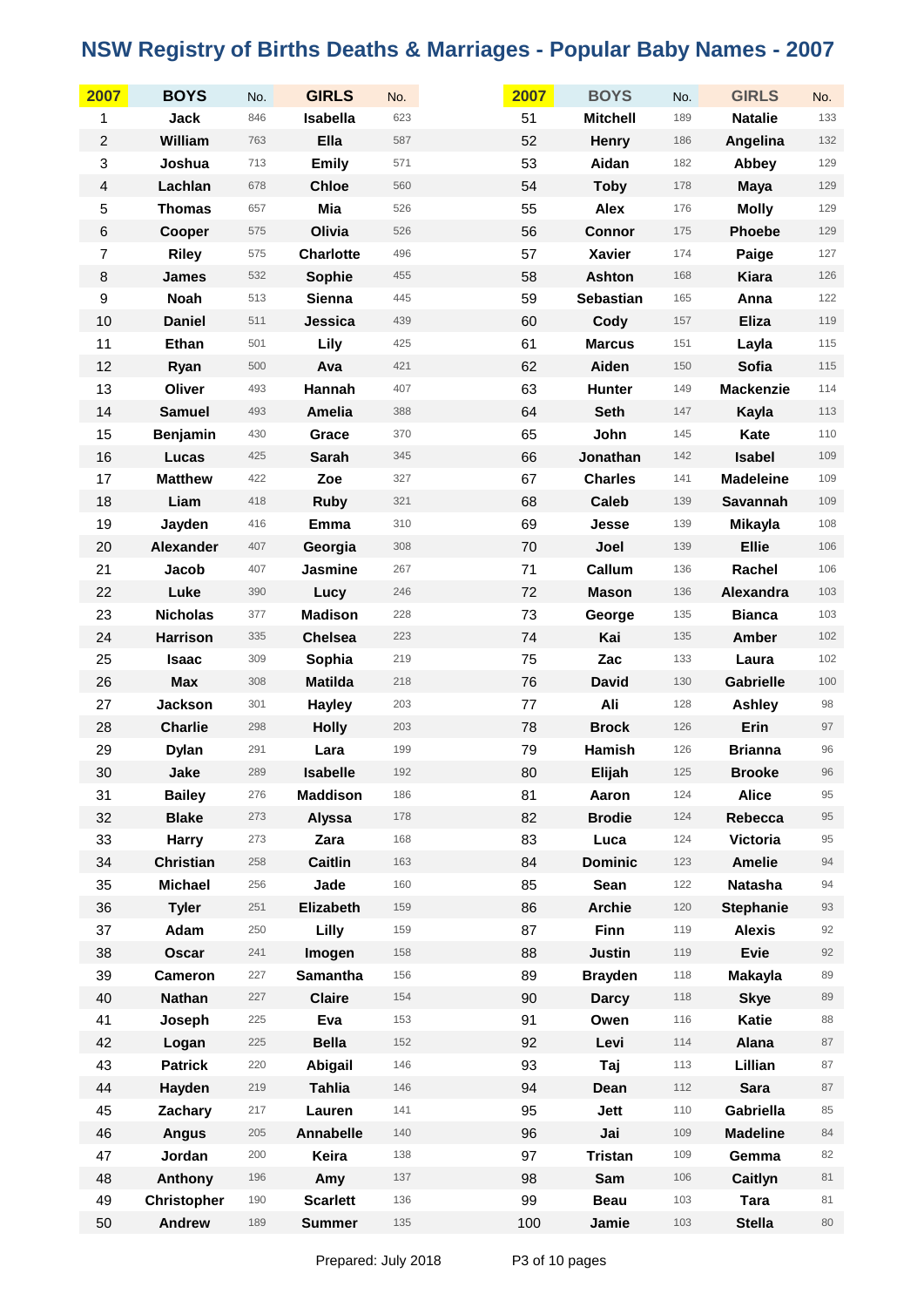| 2007                    | <b>BOYS</b>        | No. | <b>GIRLS</b>     | No. | 2007 | <b>BOYS</b>      | No. | <b>GIRLS</b>     | No.     |
|-------------------------|--------------------|-----|------------------|-----|------|------------------|-----|------------------|---------|
| 1                       | Jack               | 846 | Isabella         | 623 | 51   | <b>Mitchell</b>  | 189 | <b>Natalie</b>   | 133     |
| $\boldsymbol{2}$        | William            | 763 | Ella             | 587 | 52   | <b>Henry</b>     | 186 | Angelina         | 132     |
| 3                       | Joshua             | 713 | <b>Emily</b>     | 571 | 53   | Aidan            | 182 | Abbey            | 129     |
| $\overline{\mathbf{4}}$ | Lachlan            | 678 | <b>Chloe</b>     | 560 | 54   | <b>Toby</b>      | 178 | <b>Maya</b>      | 129     |
| 5                       | <b>Thomas</b>      | 657 | Mia              | 526 | 55   | <b>Alex</b>      | 176 | <b>Molly</b>     | 129     |
| $\,6$                   | Cooper             | 575 | Olivia           | 526 | 56   | <b>Connor</b>    | 175 | <b>Phoebe</b>    | 129     |
| $\overline{7}$          | <b>Riley</b>       | 575 | <b>Charlotte</b> | 496 | 57   | <b>Xavier</b>    | 174 | Paige            | 127     |
| $\bf 8$                 | <b>James</b>       | 532 | Sophie           | 455 | 58   | <b>Ashton</b>    | 168 | <b>Kiara</b>     | 126     |
| $\boldsymbol{9}$        | <b>Noah</b>        | 513 | Sienna           | 445 | 59   | <b>Sebastian</b> | 165 | Anna             | 122     |
| 10                      | <b>Daniel</b>      | 511 | Jessica          | 439 | 60   | Cody             | 157 | <b>Eliza</b>     | 119     |
| 11                      | Ethan              | 501 | Lily             | 425 | 61   | <b>Marcus</b>    | 151 | Layla            | 115     |
| 12                      | Ryan               | 500 | Ava              | 421 | 62   | Aiden            | 150 | Sofia            | $115$   |
| 13                      | Oliver             | 493 | Hannah           | 407 | 63   | <b>Hunter</b>    | 149 | <b>Mackenzie</b> | 114     |
| 14                      | <b>Samuel</b>      | 493 | Amelia           | 388 | 64   | <b>Seth</b>      | 147 | Kayla            | 113     |
| 15                      | Benjamin           | 430 | Grace            | 370 | 65   | John             | 145 | Kate             | $110$   |
| 16                      | Lucas              | 425 | <b>Sarah</b>     | 345 | 66   | Jonathan         | 142 | <b>Isabel</b>    | 109     |
| 17                      | <b>Matthew</b>     | 422 | Zoe              | 327 | 67   | <b>Charles</b>   | 141 | <b>Madeleine</b> | 109     |
| 18                      | Liam               | 418 | <b>Ruby</b>      | 321 | 68   | <b>Caleb</b>     | 139 | Savannah         | 109     |
| 19                      | Jayden             | 416 | <b>Emma</b>      | 310 | 69   | Jesse            | 139 | <b>Mikayla</b>   | 108     |
| 20                      | Alexander          | 407 | Georgia          | 308 | 70   | Joel             | 139 | <b>Ellie</b>     | 106     |
| 21                      | Jacob              | 407 | Jasmine          | 267 | 71   | Callum           | 136 | Rachel           | 106     |
| 22                      | Luke               | 390 | Lucy             | 246 | 72   | <b>Mason</b>     | 136 | Alexandra        | 103     |
| 23                      | <b>Nicholas</b>    | 377 | <b>Madison</b>   | 228 | 73   | George           | 135 | <b>Bianca</b>    | 103     |
| 24                      | <b>Harrison</b>    | 335 | <b>Chelsea</b>   | 223 | 74   | Kai              | 135 | <b>Amber</b>     | 102     |
| 25                      | <b>Isaac</b>       | 309 | Sophia           | 219 | 75   | Zac              | 133 | Laura            | 102     |
| 26                      | <b>Max</b>         | 308 | <b>Matilda</b>   | 218 | 76   | <b>David</b>     | 130 | <b>Gabrielle</b> | $100\,$ |
| 27                      | Jackson            | 301 | <b>Hayley</b>    | 203 | 77   | Ali              | 128 | <b>Ashley</b>    | 98      |
| 28                      | <b>Charlie</b>     | 298 | <b>Holly</b>     | 203 | 78   | <b>Brock</b>     | 126 | Erin             | 97      |
| 29                      | <b>Dylan</b>       | 291 | Lara             | 199 | 79   | Hamish           | 126 | <b>Brianna</b>   | 96      |
| 30                      | Jake               | 289 | <b>Isabelle</b>  | 192 | 80   | Elijah           | 125 | <b>Brooke</b>    | 96      |
| 31                      | <b>Bailey</b>      | 276 | <b>Maddison</b>  | 186 | 81   | Aaron            | 124 | <b>Alice</b>     | 95      |
| 32                      | <b>Blake</b>       | 273 | <b>Alyssa</b>    | 178 | 82   | <b>Brodie</b>    | 124 | Rebecca          | 95      |
| 33                      | <b>Harry</b>       | 273 | Zara             | 168 | 83   | Luca             | 124 | Victoria         | 95      |
| 34                      | <b>Christian</b>   | 258 | Caitlin          | 163 | 84   | <b>Dominic</b>   | 123 | <b>Amelie</b>    | 94      |
| 35                      | <b>Michael</b>     | 256 | Jade             | 160 | 85   | Sean             | 122 | <b>Natasha</b>   | 94      |
| 36                      | <b>Tyler</b>       | 251 | Elizabeth        | 159 | 86   | <b>Archie</b>    | 120 | <b>Stephanie</b> | 93      |
| 37                      | Adam               | 250 | Lilly            | 159 | 87   | <b>Finn</b>      | 119 | <b>Alexis</b>    | 92      |
| 38                      | Oscar              | 241 | Imogen           | 158 | 88   | <b>Justin</b>    | 119 | Evie             | 92      |
| 39                      | <b>Cameron</b>     | 227 | Samantha         | 156 | 89   | <b>Brayden</b>   | 118 | <b>Makayla</b>   | 89      |
| 40                      | <b>Nathan</b>      | 227 | <b>Claire</b>    | 154 | 90   | <b>Darcy</b>     | 118 | <b>Skye</b>      | 89      |
| 41                      | Joseph             | 225 | Eva              | 153 | 91   | Owen             | 116 | Katie            | 88      |
| 42                      | Logan              | 225 | <b>Bella</b>     | 152 | 92   | Levi             | 114 | Alana            | 87      |
| 43                      | <b>Patrick</b>     | 220 | Abigail          | 146 | 93   | Taj              | 113 | Lillian          | 87      |
| 44                      | Hayden             | 219 | <b>Tahlia</b>    | 146 | 94   | Dean             | 112 | <b>Sara</b>      | 87      |
| 45                      | Zachary            | 217 | Lauren           | 141 | 95   | Jett             | 110 | Gabriella        | 85      |
| 46                      | <b>Angus</b>       | 205 | <b>Annabelle</b> | 140 | 96   | Jai              | 109 | <b>Madeline</b>  | 84      |
| 47                      | Jordan             | 200 | Keira            | 138 | 97   | <b>Tristan</b>   | 109 | Gemma            | 82      |
| 48                      | Anthony            | 196 | Amy              | 137 | 98   | Sam              | 106 | Caitlyn          | 81      |
| 49                      | <b>Christopher</b> | 190 | <b>Scarlett</b>  | 136 | 99   | <b>Beau</b>      | 103 | Tara             | 81      |
| 50                      | Andrew             | 189 | <b>Summer</b>    | 135 | 100  | Jamie            | 103 | <b>Stella</b>    | 80      |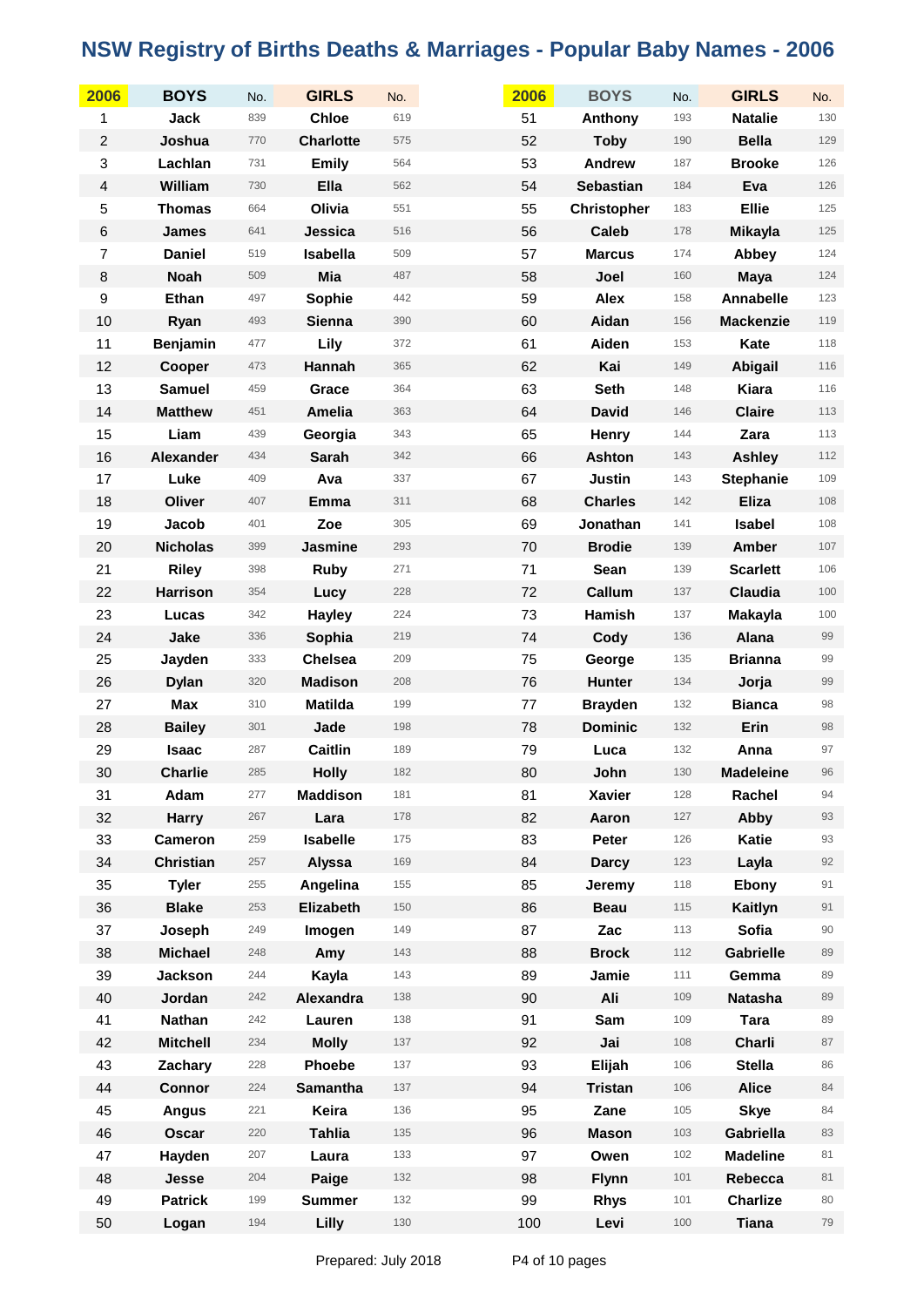| 2006                    | <b>BOYS</b>      | No. | <b>GIRLS</b>     | No. | 2006 | <b>BOYS</b>        | No.   | <b>GIRLS</b>     | No.    |
|-------------------------|------------------|-----|------------------|-----|------|--------------------|-------|------------------|--------|
| 1                       | Jack             | 839 | <b>Chloe</b>     | 619 | 51   | Anthony            | 193   | <b>Natalie</b>   | 130    |
| $\sqrt{2}$              | Joshua           | 770 | <b>Charlotte</b> | 575 | 52   | <b>Toby</b>        | 190   | <b>Bella</b>     | 129    |
| 3                       | Lachlan          | 731 | <b>Emily</b>     | 564 | 53   | Andrew             | 187   | <b>Brooke</b>    | 126    |
| $\overline{\mathbf{4}}$ | William          | 730 | Ella             | 562 | 54   | <b>Sebastian</b>   | 184   | Eva              | 126    |
| 5                       | <b>Thomas</b>    | 664 | Olivia           | 551 | 55   | <b>Christopher</b> | 183   | <b>Ellie</b>     | 125    |
| $\,6$                   | <b>James</b>     | 641 | Jessica          | 516 | 56   | <b>Caleb</b>       | 178   | <b>Mikayla</b>   | 125    |
| $\overline{7}$          | <b>Daniel</b>    | 519 | Isabella         | 509 | 57   | <b>Marcus</b>      | 174   | Abbey            | 124    |
| $\bf 8$                 | <b>Noah</b>      | 509 | Mia              | 487 | 58   | Joel               | 160   | <b>Maya</b>      | 124    |
| $\boldsymbol{9}$        | Ethan            | 497 | Sophie           | 442 | 59   | <b>Alex</b>        | 158   | Annabelle        | 123    |
| 10                      | Ryan             | 493 | Sienna           | 390 | 60   | Aidan              | 156   | <b>Mackenzie</b> | 119    |
| 11                      | <b>Benjamin</b>  | 477 | Lily             | 372 | 61   | Aiden              | 153   | Kate             | 118    |
| 12                      | Cooper           | 473 | Hannah           | 365 | 62   | Kai                | 149   | Abigail          | 116    |
| 13                      | <b>Samuel</b>    | 459 | Grace            | 364 | 63   | <b>Seth</b>        | 148   | Kiara            | 116    |
| 14                      | <b>Matthew</b>   | 451 | Amelia           | 363 | 64   | <b>David</b>       | 146   | <b>Claire</b>    | 113    |
| 15                      | Liam             | 439 | Georgia          | 343 | 65   | Henry              | 144   | Zara             | 113    |
| 16                      | <b>Alexander</b> | 434 | <b>Sarah</b>     | 342 | 66   | <b>Ashton</b>      | 143   | <b>Ashley</b>    | 112    |
| 17                      | Luke             | 409 | Ava              | 337 | 67   | <b>Justin</b>      | 143   | <b>Stephanie</b> | 109    |
| 18                      | Oliver           | 407 | Emma             | 311 | 68   | <b>Charles</b>     | 142   | <b>Eliza</b>     | 108    |
| 19                      | Jacob            | 401 | Zoe              | 305 | 69   | Jonathan           | 141   | Isabel           | 108    |
| 20                      | <b>Nicholas</b>  | 399 | Jasmine          | 293 | 70   | <b>Brodie</b>      | 139   | <b>Amber</b>     | 107    |
| 21                      | <b>Riley</b>     | 398 | <b>Ruby</b>      | 271 | 71   | Sean               | 139   | <b>Scarlett</b>  | 106    |
| 22                      | <b>Harrison</b>  | 354 | Lucy             | 228 | 72   | Callum             | 137   | Claudia          | 100    |
| 23                      | Lucas            | 342 | <b>Hayley</b>    | 224 | 73   | Hamish             | 137   | <b>Makayla</b>   | 100    |
| 24                      | Jake             | 336 | Sophia           | 219 | 74   | Cody               | 136   | Alana            | 99     |
| 25                      | Jayden           | 333 | <b>Chelsea</b>   | 209 | 75   | George             | 135   | <b>Brianna</b>   | 99     |
| 26                      | <b>Dylan</b>     | 320 | <b>Madison</b>   | 208 | 76   | Hunter             | 134   | Jorja            | 99     |
| 27                      | Max              | 310 | <b>Matilda</b>   | 199 | 77   | <b>Brayden</b>     | 132   | <b>Bianca</b>    | 98     |
| 28                      | <b>Bailey</b>    | 301 | Jade             | 198 | 78   | <b>Dominic</b>     | 132   | Erin             | 98     |
| 29                      | <b>Isaac</b>     | 287 | <b>Caitlin</b>   | 189 | 79   | Luca               | 132   | Anna             | 97     |
| 30                      | <b>Charlie</b>   | 285 | <b>Holly</b>     | 182 | 80   | John               | 130   | <b>Madeleine</b> | 96     |
| 31                      | Adam             | 277 | <b>Maddison</b>  | 181 | 81   | <b>Xavier</b>      | 128   | Rachel           | 94     |
| 32                      | Harry            | 267 | Lara             | 178 | 82   | Aaron              | 127   | Abby             | 93     |
| 33                      | <b>Cameron</b>   | 259 | <b>Isabelle</b>  | 175 | 83   | Peter              | 126   | Katie            | 93     |
| 34                      | <b>Christian</b> | 257 | Alyssa           | 169 | 84   | <b>Darcy</b>       | 123   | Layla            | 92     |
| 35                      | <b>Tyler</b>     | 255 | Angelina         | 155 | 85   | Jeremy             | 118   | Ebony            | 91     |
| 36                      | <b>Blake</b>     | 253 | Elizabeth        | 150 | 86   | <b>Beau</b>        | 115   | Kaitlyn          | 91     |
| 37                      | Joseph           | 249 | Imogen           | 149 | 87   | Zac                | 113   | Sofia            | $90\,$ |
| 38                      | <b>Michael</b>   | 248 | Amy              | 143 | 88   | <b>Brock</b>       | $112$ | <b>Gabrielle</b> | 89     |
| 39                      | <b>Jackson</b>   | 244 | Kayla            | 143 | 89   | Jamie              | 111   | Gemma            | 89     |
| 40                      | Jordan           | 242 | Alexandra        | 138 | 90   | Ali                | 109   | <b>Natasha</b>   | 89     |
| 41                      | <b>Nathan</b>    | 242 | Lauren           | 138 | 91   | Sam                | 109   | Tara             | 89     |
| 42                      | <b>Mitchell</b>  | 234 | <b>Molly</b>     | 137 | 92   | Jai                | 108   | Charli           | 87     |
| 43                      | Zachary          | 228 | Phoebe           | 137 | 93   | Elijah             | 106   | <b>Stella</b>    | 86     |
| 44                      | <b>Connor</b>    | 224 | <b>Samantha</b>  | 137 | 94   | <b>Tristan</b>     | 106   | <b>Alice</b>     | 84     |
| 45                      | <b>Angus</b>     | 221 | Keira            | 136 | 95   | Zane               | 105   | <b>Skye</b>      | 84     |
| 46                      | Oscar            | 220 | <b>Tahlia</b>    | 135 | 96   | <b>Mason</b>       | 103   | Gabriella        | 83     |
| 47                      | Hayden           | 207 | Laura            | 133 | 97   | Owen               | 102   | <b>Madeline</b>  | 81     |
| 48                      | Jesse            | 204 | Paige            | 132 | 98   | <b>Flynn</b>       | 101   | Rebecca          | 81     |
| 49                      | <b>Patrick</b>   | 199 | <b>Summer</b>    | 132 | 99   | <b>Rhys</b>        | 101   | <b>Charlize</b>  | 80     |
| 50                      | Logan            | 194 | Lilly            | 130 | 100  | Levi               | 100   | <b>Tiana</b>     | 79     |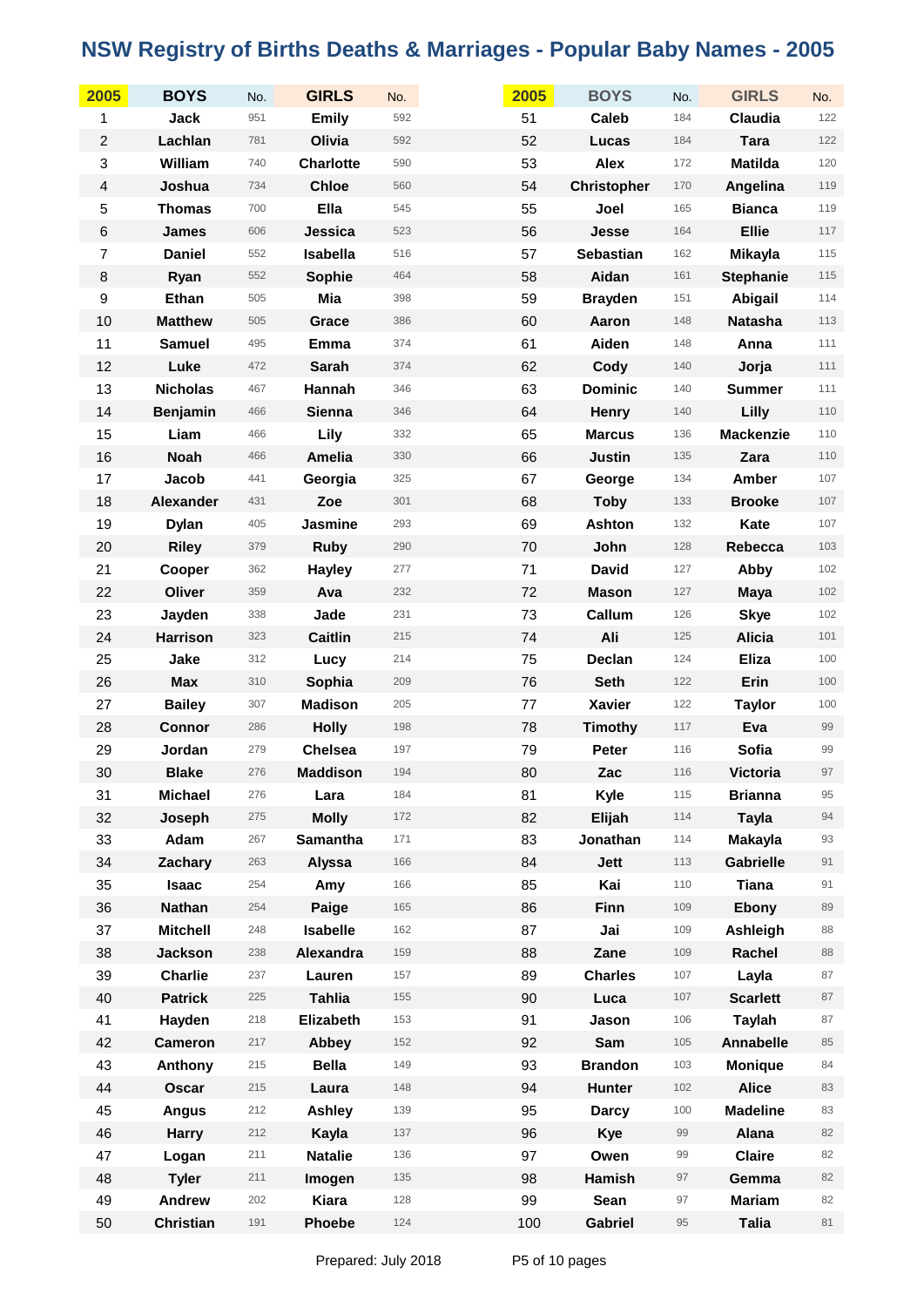| 2005                    | <b>BOYS</b>      | No. | <b>GIRLS</b>     | No. | 2005 | <b>BOYS</b>        | No. | <b>GIRLS</b>     | No.   |
|-------------------------|------------------|-----|------------------|-----|------|--------------------|-----|------------------|-------|
| 1                       | Jack             | 951 | <b>Emily</b>     | 592 | 51   | <b>Caleb</b>       | 184 | Claudia          | 122   |
| $\boldsymbol{2}$        | Lachlan          | 781 | Olivia           | 592 | 52   | Lucas              | 184 | <b>Tara</b>      | 122   |
| $\,$ 3 $\,$             | William          | 740 | <b>Charlotte</b> | 590 | 53   | <b>Alex</b>        | 172 | <b>Matilda</b>   | 120   |
| $\overline{\mathbf{4}}$ | Joshua           | 734 | <b>Chloe</b>     | 560 | 54   | <b>Christopher</b> | 170 | Angelina         | 119   |
| 5                       | <b>Thomas</b>    | 700 | Ella             | 545 | 55   | Joel               | 165 | <b>Bianca</b>    | 119   |
| $\,6$                   | James            | 606 | Jessica          | 523 | 56   | Jesse              | 164 | <b>Ellie</b>     | 117   |
| $\boldsymbol{7}$        | <b>Daniel</b>    | 552 | Isabella         | 516 | 57   | <b>Sebastian</b>   | 162 | Mikayla          | 115   |
| $\bf 8$                 | Ryan             | 552 | Sophie           | 464 | 58   | Aidan              | 161 | <b>Stephanie</b> | 115   |
| $\boldsymbol{9}$        | Ethan            | 505 | Mia              | 398 | 59   | <b>Brayden</b>     | 151 | Abigail          | 114   |
| 10                      | <b>Matthew</b>   | 505 | Grace            | 386 | 60   | Aaron              | 148 | <b>Natasha</b>   | 113   |
| 11                      | <b>Samuel</b>    | 495 | Emma             | 374 | 61   | Aiden              | 148 | Anna             | 111   |
| 12                      | Luke             | 472 | <b>Sarah</b>     | 374 | 62   | Cody               | 140 | Jorja            | 111   |
| 13                      | <b>Nicholas</b>  | 467 | Hannah           | 346 | 63   | <b>Dominic</b>     | 140 | <b>Summer</b>    | 111   |
| 14                      | <b>Benjamin</b>  | 466 | <b>Sienna</b>    | 346 | 64   | Henry              | 140 | Lilly            | 110   |
| 15                      | Liam             | 466 | Lily             | 332 | 65   | <b>Marcus</b>      | 136 | <b>Mackenzie</b> | $110$ |
| 16                      | <b>Noah</b>      | 466 | <b>Amelia</b>    | 330 | 66   | <b>Justin</b>      | 135 | Zara             | 110   |
| 17                      | Jacob            | 441 | Georgia          | 325 | 67   | George             | 134 | Amber            | 107   |
| 18                      | <b>Alexander</b> | 431 | Zoe              | 301 | 68   | <b>Toby</b>        | 133 | <b>Brooke</b>    | 107   |
| 19                      | <b>Dylan</b>     | 405 | <b>Jasmine</b>   | 293 | 69   | <b>Ashton</b>      | 132 | Kate             | 107   |
| 20                      | <b>Riley</b>     | 379 | <b>Ruby</b>      | 290 | 70   | John               | 128 | Rebecca          | 103   |
| 21                      | Cooper           | 362 | <b>Hayley</b>    | 277 | 71   | <b>David</b>       | 127 | Abby             | 102   |
| 22                      | Oliver           | 359 | Ava              | 232 | 72   | <b>Mason</b>       | 127 | <b>Maya</b>      | $102$ |
| 23                      | Jayden           | 338 | Jade             | 231 | 73   | Callum             | 126 | <b>Skye</b>      | 102   |
| 24                      | <b>Harrison</b>  | 323 | <b>Caitlin</b>   | 215 | 74   | Ali                | 125 | <b>Alicia</b>    | 101   |
| 25                      | Jake             | 312 | Lucy             | 214 | 75   | Declan             | 124 | <b>Eliza</b>     | 100   |
| 26                      | <b>Max</b>       | 310 | Sophia           | 209 | 76   | <b>Seth</b>        | 122 | Erin             | 100   |
| 27                      | <b>Bailey</b>    | 307 | <b>Madison</b>   | 205 | 77   | <b>Xavier</b>      | 122 | <b>Taylor</b>    | 100   |
| 28                      | <b>Connor</b>    | 286 | <b>Holly</b>     | 198 | 78   | <b>Timothy</b>     | 117 | Eva              | 99    |
| 29                      | Jordan           | 279 | <b>Chelsea</b>   | 197 | 79   | Peter              | 116 | Sofia            | 99    |
| 30                      | <b>Blake</b>     | 276 | <b>Maddison</b>  | 194 | 80   | Zac                | 116 | <b>Victoria</b>  | 97    |
| 31                      | <b>Michael</b>   | 276 | Lara             | 184 | 81   | Kyle               | 115 | <b>Brianna</b>   | 95    |
| 32                      | Joseph           | 275 | <b>Molly</b>     | 172 | 82   | Elijah             | 114 | <b>Tayla</b>     | 94    |
| 33                      | Adam             | 267 | Samantha         | 171 | 83   | Jonathan           | 114 | <b>Makayla</b>   | 93    |
| 34                      | Zachary          | 263 | <b>Alyssa</b>    | 166 | 84   | <b>Jett</b>        | 113 | <b>Gabrielle</b> | 91    |
| 35                      | Isaac            | 254 | Amy              | 166 | 85   | Kai                | 110 | <b>Tiana</b>     | 91    |
| 36                      | <b>Nathan</b>    | 254 | Paige            | 165 | 86   | <b>Finn</b>        | 109 | Ebony            | 89    |
| 37                      | <b>Mitchell</b>  | 248 | <b>Isabelle</b>  | 162 | 87   | Jai                | 109 | Ashleigh         | 88    |
| 38                      | <b>Jackson</b>   | 238 | Alexandra        | 159 | 88   | Zane               | 109 | Rachel           | 88    |
| 39                      | <b>Charlie</b>   | 237 | Lauren           | 157 | 89   | <b>Charles</b>     | 107 | Layla            | 87    |
| 40                      | <b>Patrick</b>   | 225 | <b>Tahlia</b>    | 155 | 90   | Luca               | 107 | <b>Scarlett</b>  | 87    |
| 41                      | Hayden           | 218 | Elizabeth        | 153 | 91   | Jason              | 106 | <b>Taylah</b>    | 87    |
| 42                      | <b>Cameron</b>   | 217 | Abbey            | 152 | 92   | Sam                | 105 | <b>Annabelle</b> | 85    |
| 43                      | Anthony          | 215 | <b>Bella</b>     | 149 | 93   | <b>Brandon</b>     | 103 | <b>Monique</b>   | 84    |
| 44                      | <b>Oscar</b>     | 215 | Laura            | 148 | 94   | Hunter             | 102 | <b>Alice</b>     | 83    |
| 45                      | <b>Angus</b>     | 212 | <b>Ashley</b>    | 139 | 95   | <b>Darcy</b>       | 100 | <b>Madeline</b>  | 83    |
| 46                      | <b>Harry</b>     | 212 | Kayla            | 137 | 96   | <b>Kye</b>         | 99  | Alana            | 82    |
| 47                      | Logan            | 211 | <b>Natalie</b>   | 136 | 97   | Owen               | 99  | <b>Claire</b>    | 82    |
| 48                      | <b>Tyler</b>     | 211 | Imogen           | 135 | 98   | Hamish             | 97  | Gemma            | 82    |
| 49                      | Andrew           | 202 | <b>Kiara</b>     | 128 | 99   | Sean               | 97  | <b>Mariam</b>    | 82    |
| 50                      | <b>Christian</b> | 191 | Phoebe           | 124 | 100  | <b>Gabriel</b>     | 95  | <b>Talia</b>     | 81    |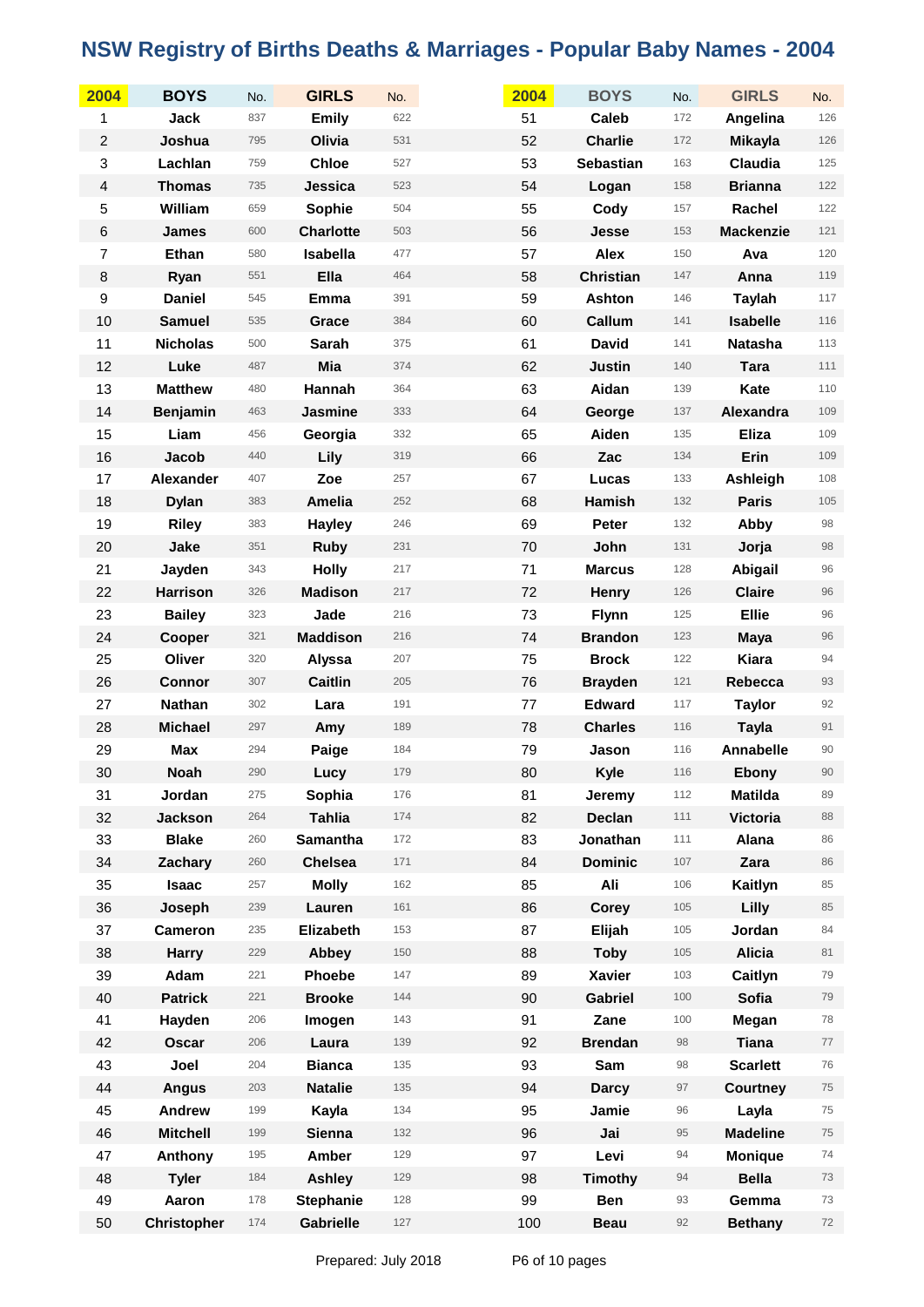| 2004                    | <b>BOYS</b>        | No. | <b>GIRLS</b>     | No. | 2004 | <b>BOYS</b>      | No. | <b>GIRLS</b>     | No.   |
|-------------------------|--------------------|-----|------------------|-----|------|------------------|-----|------------------|-------|
| 1                       | Jack               | 837 | <b>Emily</b>     | 622 | 51   | <b>Caleb</b>     | 172 | Angelina         | 126   |
| $\boldsymbol{2}$        | Joshua             | 795 | Olivia           | 531 | 52   | <b>Charlie</b>   | 172 | <b>Mikayla</b>   | $126$ |
| 3                       | Lachlan            | 759 | <b>Chloe</b>     | 527 | 53   | <b>Sebastian</b> | 163 | Claudia          | 125   |
| $\overline{\mathbf{4}}$ | <b>Thomas</b>      | 735 | Jessica          | 523 | 54   | Logan            | 158 | <b>Brianna</b>   | 122   |
| 5                       | William            | 659 | Sophie           | 504 | 55   | Cody             | 157 | Rachel           | 122   |
| $\,6$                   | <b>James</b>       | 600 | <b>Charlotte</b> | 503 | 56   | Jesse            | 153 | <b>Mackenzie</b> | 121   |
| $\overline{7}$          | Ethan              | 580 | Isabella         | 477 | 57   | <b>Alex</b>      | 150 | Ava              | 120   |
| $\bf 8$                 | Ryan               | 551 | Ella             | 464 | 58   | <b>Christian</b> | 147 | Anna             | 119   |
| $\boldsymbol{9}$        | <b>Daniel</b>      | 545 | Emma             | 391 | 59   | Ashton           | 146 | <b>Taylah</b>    | $117$ |
| 10                      | <b>Samuel</b>      | 535 | Grace            | 384 | 60   | Callum           | 141 | <b>Isabelle</b>  | 116   |
| 11                      | <b>Nicholas</b>    | 500 | Sarah            | 375 | 61   | <b>David</b>     | 141 | <b>Natasha</b>   | 113   |
| 12                      | Luke               | 487 | Mia              | 374 | 62   | <b>Justin</b>    | 140 | <b>Tara</b>      | 111   |
| 13                      | <b>Matthew</b>     | 480 | Hannah           | 364 | 63   | Aidan            | 139 | Kate             | 110   |
| 14                      | <b>Benjamin</b>    | 463 | Jasmine          | 333 | 64   | George           | 137 | Alexandra        | 109   |
| 15                      | Liam               | 456 | Georgia          | 332 | 65   | Aiden            | 135 | <b>Eliza</b>     | 109   |
| 16                      | Jacob              | 440 | Lily             | 319 | 66   | Zac              | 134 | Erin             | 109   |
| 17                      | Alexander          | 407 | Zoe              | 257 | 67   | Lucas            | 133 | Ashleigh         | 108   |
| 18                      | <b>Dylan</b>       | 383 | <b>Amelia</b>    | 252 | 68   | <b>Hamish</b>    | 132 | <b>Paris</b>     | 105   |
| 19                      | <b>Riley</b>       | 383 | <b>Hayley</b>    | 246 | 69   | Peter            | 132 | Abby             | 98    |
| 20                      | Jake               | 351 | <b>Ruby</b>      | 231 | 70   | John             | 131 | Jorja            | 98    |
| 21                      | Jayden             | 343 | <b>Holly</b>     | 217 | 71   | <b>Marcus</b>    | 128 | Abigail          | 96    |
| 22                      | <b>Harrison</b>    | 326 | <b>Madison</b>   | 217 | 72   | Henry            | 126 | <b>Claire</b>    | 96    |
| 23                      | <b>Bailey</b>      | 323 | Jade             | 216 | 73   | <b>Flynn</b>     | 125 | <b>Ellie</b>     | 96    |
| 24                      | Cooper             | 321 | <b>Maddison</b>  | 216 | 74   | <b>Brandon</b>   | 123 | <b>Maya</b>      | 96    |
| 25                      | Oliver             | 320 | Alyssa           | 207 | 75   | <b>Brock</b>     | 122 | <b>Kiara</b>     | 94    |
| 26                      | <b>Connor</b>      | 307 | <b>Caitlin</b>   | 205 | 76   | <b>Brayden</b>   | 121 | Rebecca          | 93    |
| 27                      | <b>Nathan</b>      | 302 | Lara             | 191 | 77   | <b>Edward</b>    | 117 | <b>Taylor</b>    | 92    |
| 28                      | <b>Michael</b>     | 297 | Amy              | 189 | 78   | <b>Charles</b>   | 116 | <b>Tayla</b>     | 91    |
| 29                      | Max                | 294 | Paige            | 184 | 79   | Jason            | 116 | <b>Annabelle</b> | 90    |
| 30                      | <b>Noah</b>        | 290 | Lucy             | 179 | 80   | Kyle             | 116 | <b>Ebony</b>     | 90    |
| 31                      | Jordan             | 275 | Sophia           | 176 | 81   | Jeremy           | 112 | <b>Matilda</b>   | 89    |
| 32                      | <b>Jackson</b>     | 264 | <b>Tahlia</b>    | 174 | 82   | <b>Declan</b>    | 111 | <b>Victoria</b>  | 88    |
| 33                      | <b>Blake</b>       | 260 | <b>Samantha</b>  | 172 | 83   | Jonathan         | 111 | Alana            | 86    |
| 34                      | Zachary            | 260 | <b>Chelsea</b>   | 171 | 84   | <b>Dominic</b>   | 107 | Zara             | 86    |
| 35                      | Isaac              | 257 | <b>Molly</b>     | 162 | 85   | Ali              | 106 | Kaitlyn          | 85    |
| 36                      | Joseph             | 239 | Lauren           | 161 | 86   | Corey            | 105 | Lilly            | 85    |
| 37                      | Cameron            | 235 | Elizabeth        | 153 | 87   | Elijah           | 105 | Jordan           | 84    |
| 38                      | <b>Harry</b>       | 229 | Abbey            | 150 | 88   | <b>Toby</b>      | 105 | <b>Alicia</b>    | 81    |
| 39                      | Adam               | 221 | <b>Phoebe</b>    | 147 | 89   | Xavier           | 103 | Caitlyn          | 79    |
| 40                      | <b>Patrick</b>     | 221 | <b>Brooke</b>    | 144 | 90   | <b>Gabriel</b>   | 100 | Sofia            | 79    |
| 41                      | Hayden             | 206 | Imogen           | 143 | 91   | Zane             | 100 | Megan            | 78    |
| 42                      | Oscar              | 206 | Laura            | 139 | 92   | <b>Brendan</b>   | 98  | <b>Tiana</b>     | 77    |
| 43                      | Joel               | 204 | <b>Bianca</b>    | 135 | 93   | Sam              | 98  | <b>Scarlett</b>  | 76    |
| 44                      | <b>Angus</b>       | 203 | <b>Natalie</b>   | 135 | 94   | <b>Darcy</b>     | 97  | <b>Courtney</b>  | 75    |
| 45                      | Andrew             | 199 | Kayla            | 134 | 95   | Jamie            | 96  | Layla            | 75    |
| 46                      | <b>Mitchell</b>    | 199 | <b>Sienna</b>    | 132 | 96   | Jai              | 95  | <b>Madeline</b>  | 75    |
| 47                      | Anthony            | 195 | Amber            | 129 | 97   | Levi             | 94  | <b>Monique</b>   | 74    |
| 48                      | <b>Tyler</b>       | 184 | <b>Ashley</b>    | 129 | 98   | <b>Timothy</b>   | 94  | <b>Bella</b>     | 73    |
| 49                      | Aaron              | 178 | <b>Stephanie</b> | 128 | 99   | Ben              | 93  | Gemma            | 73    |
| 50                      | <b>Christopher</b> | 174 | Gabrielle        | 127 | 100  | <b>Beau</b>      | 92  | <b>Bethany</b>   | 72    |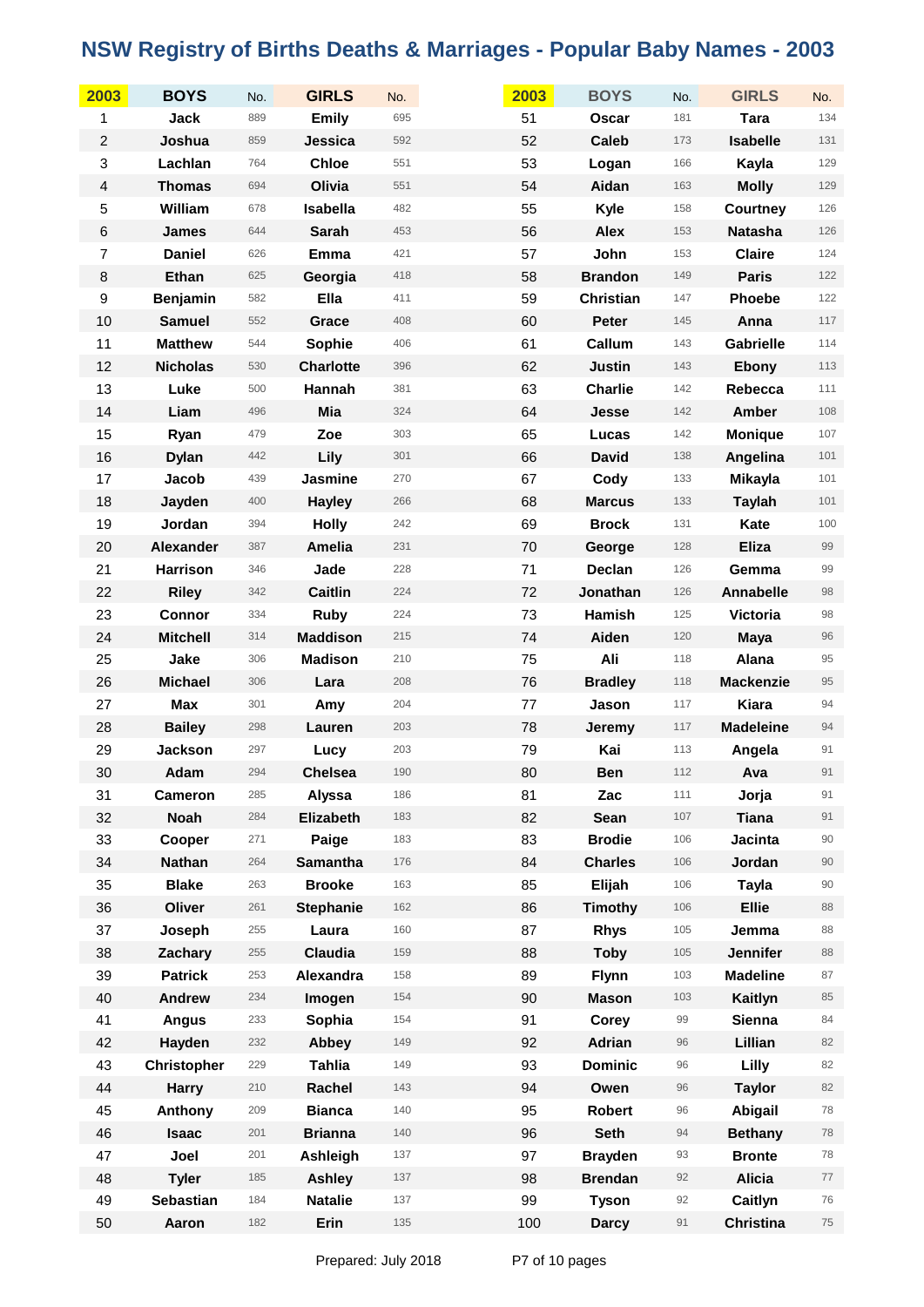| 2003             | <b>BOYS</b>        | No. | <b>GIRLS</b>     | No. | 2003 | <b>BOYS</b>      | No. | <b>GIRLS</b>     | No.    |
|------------------|--------------------|-----|------------------|-----|------|------------------|-----|------------------|--------|
| 1                | <b>Jack</b>        | 889 | <b>Emily</b>     | 695 | 51   | <b>Oscar</b>     | 181 | <b>Tara</b>      | 134    |
| $\overline{c}$   | Joshua             | 859 | Jessica          | 592 | 52   | <b>Caleb</b>     | 173 | <b>Isabelle</b>  | 131    |
| 3                | Lachlan            | 764 | <b>Chloe</b>     | 551 | 53   | Logan            | 166 | Kayla            | 129    |
| 4                | <b>Thomas</b>      | 694 | Olivia           | 551 | 54   | Aidan            | 163 | <b>Molly</b>     | 129    |
| 5                | William            | 678 | Isabella         | 482 | 55   | Kyle             | 158 | Courtney         | 126    |
| $\,6$            | <b>James</b>       | 644 | <b>Sarah</b>     | 453 | 56   | <b>Alex</b>      | 153 | <b>Natasha</b>   | 126    |
| $\overline{7}$   | <b>Daniel</b>      | 626 | Emma             | 421 | 57   | John             | 153 | <b>Claire</b>    | 124    |
| $\bf 8$          | Ethan              | 625 | Georgia          | 418 | 58   | <b>Brandon</b>   | 149 | <b>Paris</b>     | 122    |
| $\boldsymbol{9}$ | <b>Benjamin</b>    | 582 | Ella             | 411 | 59   | <b>Christian</b> | 147 | Phoebe           | 122    |
| 10               | <b>Samuel</b>      | 552 | Grace            | 408 | 60   | Peter            | 145 | Anna             | 117    |
| 11               | <b>Matthew</b>     | 544 | Sophie           | 406 | 61   | Callum           | 143 | <b>Gabrielle</b> | 114    |
| 12               | <b>Nicholas</b>    | 530 | <b>Charlotte</b> | 396 | 62   | <b>Justin</b>    | 143 | Ebony            | 113    |
| 13               | Luke               | 500 | Hannah           | 381 | 63   | <b>Charlie</b>   | 142 | Rebecca          | 111    |
| 14               | Liam               | 496 | Mia              | 324 | 64   | Jesse            | 142 | Amber            | 108    |
| 15               | Ryan               | 479 | Zoe              | 303 | 65   | Lucas            | 142 | <b>Monique</b>   | 107    |
| 16               | <b>Dylan</b>       | 442 | Lily             | 301 | 66   | <b>David</b>     | 138 | Angelina         | 101    |
| 17               | Jacob              | 439 | Jasmine          | 270 | 67   | Cody             | 133 | Mikayla          | 101    |
| 18               | Jayden             | 400 | <b>Hayley</b>    | 266 | 68   | <b>Marcus</b>    | 133 | <b>Taylah</b>    | 101    |
| 19               | Jordan             | 394 | <b>Holly</b>     | 242 | 69   | <b>Brock</b>     | 131 | Kate             | 100    |
| 20               | Alexander          | 387 | Amelia           | 231 | 70   | George           | 128 | <b>Eliza</b>     | 99     |
| 21               | Harrison           | 346 | Jade             | 228 | 71   | Declan           | 126 | Gemma            | 99     |
| 22               | <b>Riley</b>       | 342 | <b>Caitlin</b>   | 224 | 72   | Jonathan         | 126 | Annabelle        | 98     |
| 23               | Connor             | 334 | <b>Ruby</b>      | 224 | 73   | Hamish           | 125 | Victoria         | 98     |
| 24               | <b>Mitchell</b>    | 314 | <b>Maddison</b>  | 215 | 74   | Aiden            | 120 | <b>Maya</b>      | 96     |
| 25               | Jake               | 306 | <b>Madison</b>   | 210 | 75   | Ali              | 118 | Alana            | 95     |
| 26               | <b>Michael</b>     | 306 | Lara             | 208 | 76   | <b>Bradley</b>   | 118 | <b>Mackenzie</b> | 95     |
| 27               | <b>Max</b>         | 301 | Amy              | 204 | 77   | Jason            | 117 | Kiara            | 94     |
| 28               | <b>Bailey</b>      | 298 | Lauren           | 203 | 78   | Jeremy           | 117 | <b>Madeleine</b> | 94     |
| 29               | <b>Jackson</b>     | 297 | Lucy             | 203 | 79   | Kai              | 113 | Angela           | 91     |
| 30               | Adam               | 294 | <b>Chelsea</b>   | 190 | 80   | <b>Ben</b>       | 112 | Ava              | 91     |
| 31               | <b>Cameron</b>     | 285 | Alyssa           | 186 | 81   | Zac              | 111 | Jorja            | 91     |
| 32               | <b>Noah</b>        | 284 | Elizabeth        | 183 | 82   | <b>Sean</b>      | 107 | <b>Tiana</b>     | 91     |
| 33               | Cooper             | 271 | Paige            | 183 | 83   | <b>Brodie</b>    | 106 | Jacinta          | $90\,$ |
| 34               | <b>Nathan</b>      | 264 | <b>Samantha</b>  | 176 | 84   | <b>Charles</b>   | 106 | Jordan           | 90     |
| 35               | <b>Blake</b>       | 263 | <b>Brooke</b>    | 163 | 85   | Elijah           | 106 | <b>Tayla</b>     | 90     |
| 36               | Oliver             | 261 | <b>Stephanie</b> | 162 | 86   | <b>Timothy</b>   | 106 | <b>Ellie</b>     | 88     |
| 37               | Joseph             | 255 | Laura            | 160 | 87   | <b>Rhys</b>      | 105 | Jemma            | 88     |
| 38               | Zachary            | 255 | Claudia          | 159 | 88   | <b>Toby</b>      | 105 | Jennifer         | 88     |
| 39               | <b>Patrick</b>     | 253 | Alexandra        | 158 | 89   | <b>Flynn</b>     | 103 | <b>Madeline</b>  | 87     |
| 40               | <b>Andrew</b>      | 234 | Imogen           | 154 | 90   | <b>Mason</b>     | 103 | Kaitlyn          | 85     |
| 41               | <b>Angus</b>       | 233 | Sophia           | 154 | 91   | Corey            | 99  | Sienna           | 84     |
| 42               | Hayden             | 232 | Abbey            | 149 | 92   | Adrian           | 96  | Lillian          | 82     |
| 43               | <b>Christopher</b> | 229 | <b>Tahlia</b>    | 149 | 93   | <b>Dominic</b>   | 96  | Lilly            | 82     |
| 44               | <b>Harry</b>       | 210 | Rachel           | 143 | 94   | Owen             | 96  | <b>Taylor</b>    | 82     |
| 45               | Anthony            | 209 | <b>Bianca</b>    | 140 | 95   | <b>Robert</b>    | 96  | Abigail          | 78     |
| 46               | <b>Isaac</b>       | 201 | <b>Brianna</b>   | 140 | 96   | <b>Seth</b>      | 94  | <b>Bethany</b>   | 78     |
| 47               | Joel               | 201 | Ashleigh         | 137 | 97   | <b>Brayden</b>   | 93  | <b>Bronte</b>    | 78     |
| 48               | <b>Tyler</b>       | 185 | <b>Ashley</b>    | 137 | 98   | <b>Brendan</b>   | 92  | <b>Alicia</b>    | 77     |
| 49               | Sebastian          | 184 | <b>Natalie</b>   | 137 | 99   | <b>Tyson</b>     | 92  | Caitlyn          | 76     |
| 50               | Aaron              | 182 | Erin             | 135 | 100  | <b>Darcy</b>     | 91  | <b>Christina</b> | 75     |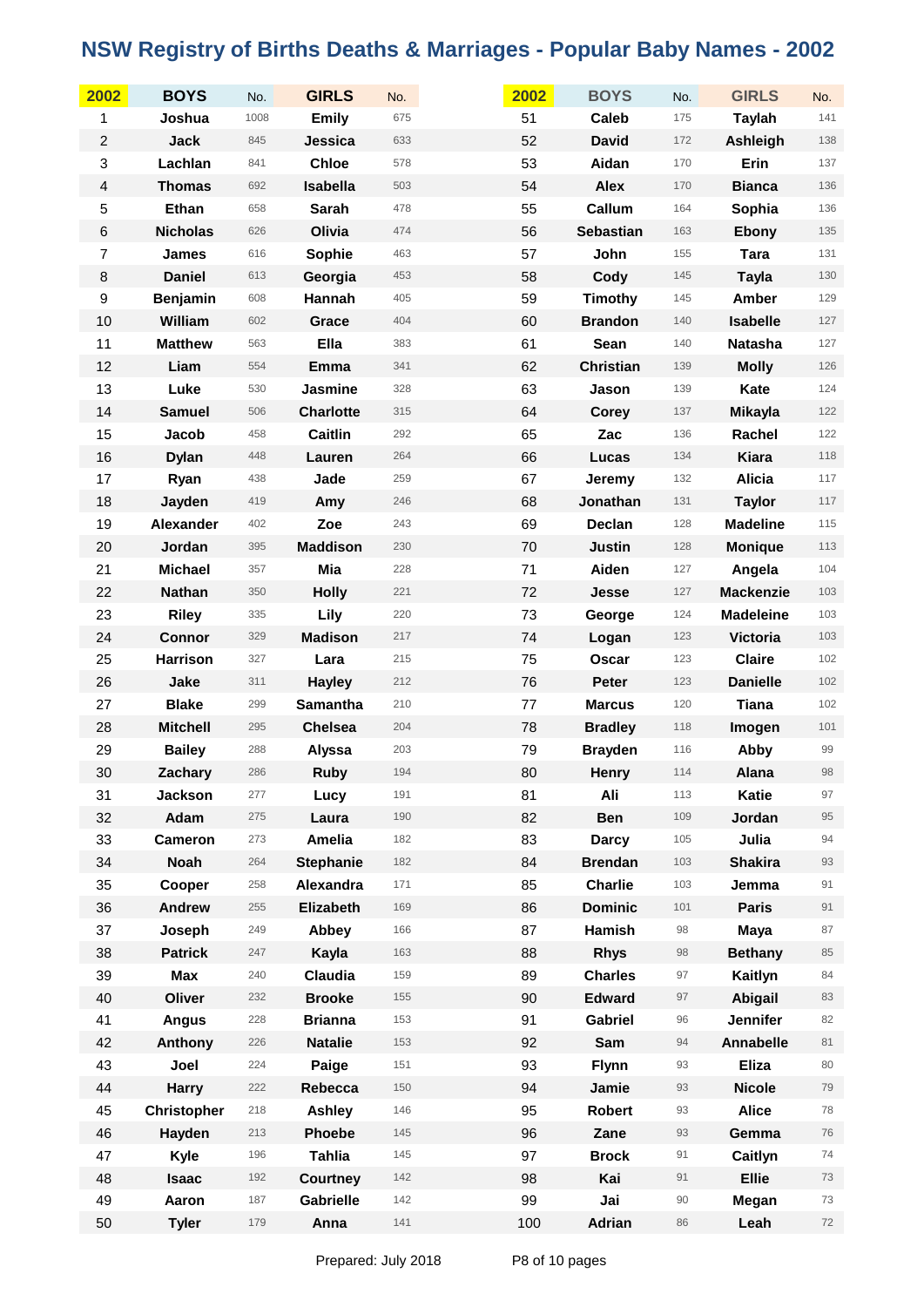| 2002             | <b>BOYS</b>        | No.  | <b>GIRLS</b>     | No. | 2002 | <b>BOYS</b>      | No.    | <b>GIRLS</b>     | No.   |
|------------------|--------------------|------|------------------|-----|------|------------------|--------|------------------|-------|
| 1                | Joshua             | 1008 | <b>Emily</b>     | 675 | 51   | Caleb            | 175    | <b>Taylah</b>    | 141   |
| $\overline{c}$   | <b>Jack</b>        | 845  | Jessica          | 633 | 52   | <b>David</b>     | 172    | Ashleigh         | 138   |
| 3                | Lachlan            | 841  | <b>Chloe</b>     | 578 | 53   | Aidan            | 170    | Erin             | 137   |
| 4                | <b>Thomas</b>      | 692  | Isabella         | 503 | 54   | <b>Alex</b>      | 170    | <b>Bianca</b>    | 136   |
| 5                | Ethan              | 658  | Sarah            | 478 | 55   | Callum           | 164    | Sophia           | 136   |
| $\,6$            | <b>Nicholas</b>    | 626  | Olivia           | 474 | 56   | <b>Sebastian</b> | 163    | Ebony            | 135   |
| $\overline{7}$   | <b>James</b>       | 616  | Sophie           | 463 | 57   | John             | 155    | <b>Tara</b>      | 131   |
| $\bf 8$          | <b>Daniel</b>      | 613  | Georgia          | 453 | 58   | Cody             | 145    | <b>Tayla</b>     | 130   |
| $\boldsymbol{9}$ | Benjamin           | 608  | Hannah           | 405 | 59   | Timothy          | 145    | Amber            | 129   |
| 10               | William            | 602  | Grace            | 404 | 60   | <b>Brandon</b>   | 140    | <b>Isabelle</b>  | 127   |
| 11               | <b>Matthew</b>     | 563  | Ella             | 383 | 61   | Sean             | 140    | <b>Natasha</b>   | 127   |
| 12               | Liam               | 554  | Emma             | 341 | 62   | <b>Christian</b> | 139    | <b>Molly</b>     | 126   |
| 13               | Luke               | 530  | <b>Jasmine</b>   | 328 | 63   | Jason            | 139    | Kate             | 124   |
| 14               | <b>Samuel</b>      | 506  | <b>Charlotte</b> | 315 | 64   | <b>Corey</b>     | 137    | <b>Mikayla</b>   | 122   |
| 15               | Jacob              | 458  | <b>Caitlin</b>   | 292 | 65   | Zac              | 136    | Rachel           | 122   |
| 16               | <b>Dylan</b>       | 448  | Lauren           | 264 | 66   | Lucas            | 134    | Kiara            | 118   |
| 17               | Ryan               | 438  | Jade             | 259 | 67   | <b>Jeremy</b>    | 132    | <b>Alicia</b>    | 117   |
| 18               | Jayden             | 419  | Amy              | 246 | 68   | Jonathan         | 131    | <b>Taylor</b>    | 117   |
| 19               | <b>Alexander</b>   | 402  | Zoe              | 243 | 69   | Declan           | 128    | <b>Madeline</b>  | 115   |
| 20               | Jordan             | 395  | <b>Maddison</b>  | 230 | 70   | <b>Justin</b>    | 128    | <b>Monique</b>   | 113   |
| 21               | <b>Michael</b>     | 357  | Mia              | 228 | 71   | Aiden            | 127    | Angela           | $104$ |
| 22               | <b>Nathan</b>      | 350  | <b>Holly</b>     | 221 | 72   | Jesse            | 127    | <b>Mackenzie</b> | 103   |
| 23               | <b>Riley</b>       | 335  | Lily             | 220 | 73   | George           | 124    | <b>Madeleine</b> | 103   |
| 24               | Connor             | 329  | <b>Madison</b>   | 217 | 74   | Logan            | 123    | <b>Victoria</b>  | 103   |
| 25               | <b>Harrison</b>    | 327  | Lara             | 215 | 75   | <b>Oscar</b>     | 123    | <b>Claire</b>    | 102   |
| 26               | Jake               | 311  | <b>Hayley</b>    | 212 | 76   | Peter            | 123    | <b>Danielle</b>  | $102$ |
| 27               | <b>Blake</b>       | 299  | Samantha         | 210 | 77   | <b>Marcus</b>    | 120    | <b>Tiana</b>     | 102   |
| 28               | <b>Mitchell</b>    | 295  | <b>Chelsea</b>   | 204 | 78   | <b>Bradley</b>   | 118    | Imogen           | 101   |
| 29               | <b>Bailey</b>      | 288  | Alyssa           | 203 | 79   | <b>Brayden</b>   | 116    | Abby             | 99    |
| 30               | Zachary            | 286  | <b>Ruby</b>      | 194 | 80   | Henry            | 114    | Alana            | 98    |
| 31               | Jackson            | 277  | Lucy             | 191 | 81   | Ali              | 113    | Katie            | 97    |
| 32               | Adam               | 275  | Laura            | 190 | 82   | <b>Ben</b>       | 109    | Jordan           | 95    |
| 33               | Cameron            | 273  | <b>Amelia</b>    | 182 | 83   | <b>Darcy</b>     | 105    | Julia            | 94    |
| 34               | <b>Noah</b>        | 264  | <b>Stephanie</b> | 182 | 84   | <b>Brendan</b>   | 103    | <b>Shakira</b>   | 93    |
| 35               | Cooper             | 258  | Alexandra        | 171 | 85   | <b>Charlie</b>   | 103    | Jemma            | 91    |
| 36               | <b>Andrew</b>      | 255  | Elizabeth        | 169 | 86   | <b>Dominic</b>   | 101    | <b>Paris</b>     | 91    |
| 37               | Joseph             | 249  | Abbey            | 166 | 87   | <b>Hamish</b>    | 98     | <b>Maya</b>      | 87    |
| 38               | <b>Patrick</b>     | 247  | Kayla            | 163 | 88   | <b>Rhys</b>      | 98     | <b>Bethany</b>   | 85    |
| 39               | Max                | 240  | Claudia          | 159 | 89   | <b>Charles</b>   | 97     | Kaitlyn          | 84    |
| 40               | Oliver             | 232  | <b>Brooke</b>    | 155 | 90   | <b>Edward</b>    | 97     | Abigail          | 83    |
| 41               | <b>Angus</b>       | 228  | <b>Brianna</b>   | 153 | 91   | Gabriel          | 96     | <b>Jennifer</b>  | 82    |
| 42               | Anthony            | 226  | <b>Natalie</b>   | 153 | 92   | Sam              | 94     | Annabelle        | 81    |
| 43               | Joel               | 224  | Paige            | 151 | 93   | <b>Flynn</b>     | 93     | <b>Eliza</b>     | 80    |
| 44               | <b>Harry</b>       | 222  | Rebecca          | 150 | 94   | Jamie            | 93     | <b>Nicole</b>    | 79    |
| 45               | <b>Christopher</b> | 218  | <b>Ashley</b>    | 146 | 95   | <b>Robert</b>    | 93     | <b>Alice</b>     | 78    |
| 46               | Hayden             | 213  | <b>Phoebe</b>    | 145 | 96   | Zane             | 93     | Gemma            | 76    |
| 47               | Kyle               | 196  | <b>Tahlia</b>    | 145 | 97   | <b>Brock</b>     | 91     | Caitlyn          | 74    |
| 48               | <b>Isaac</b>       | 192  | Courtney         | 142 | 98   | Kai              | 91     | <b>Ellie</b>     | 73    |
| 49               | Aaron              | 187  | Gabrielle        | 142 | 99   | Jai              | $90\,$ | Megan            | 73    |
| 50               | <b>Tyler</b>       | 179  | Anna             | 141 | 100  | Adrian           | 86     | Leah             | 72    |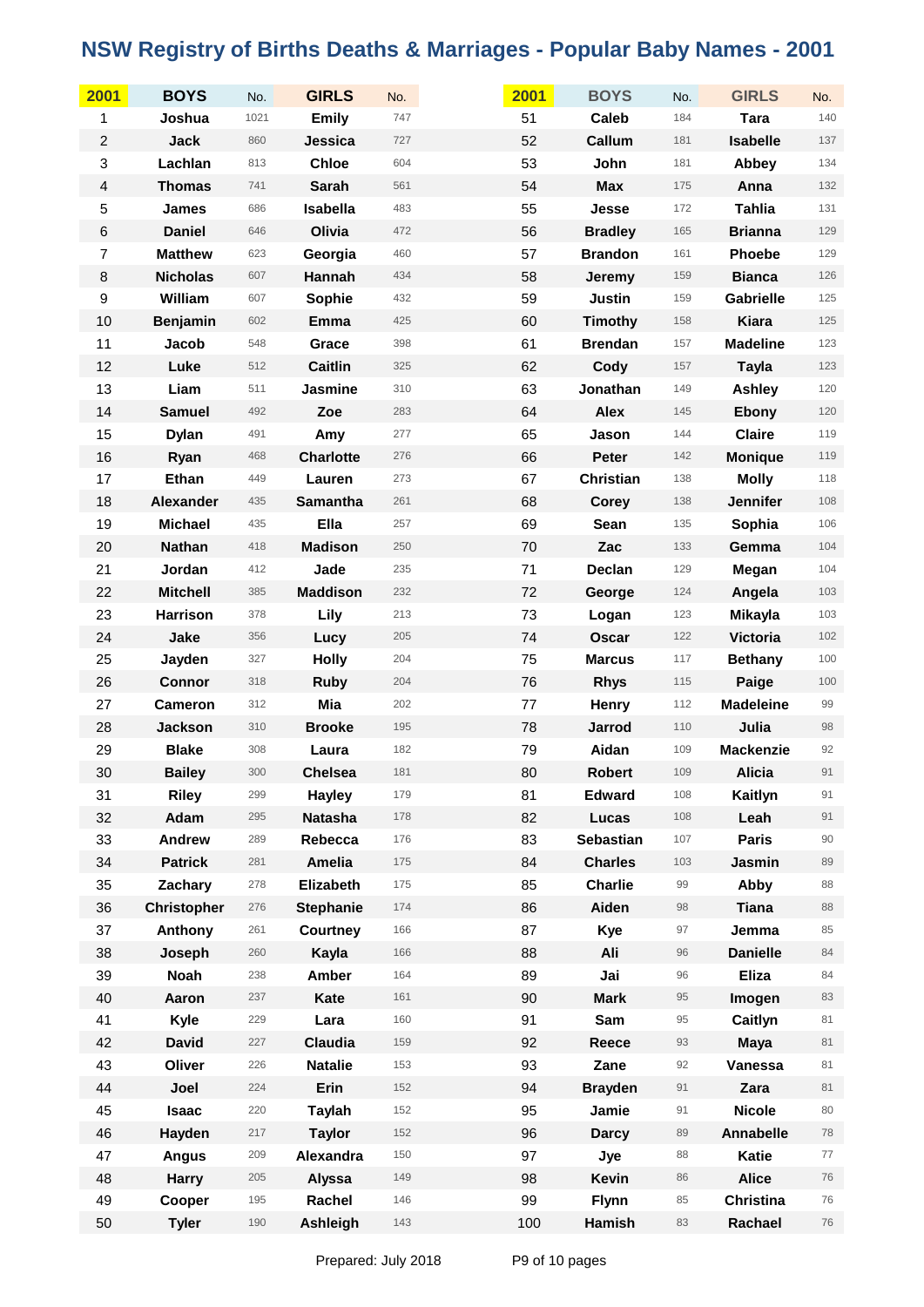| 2001           | <b>BOYS</b>        | No.  | <b>GIRLS</b>     | No. | 2001 | <b>BOYS</b>      | No. | <b>GIRLS</b>     | No.    |
|----------------|--------------------|------|------------------|-----|------|------------------|-----|------------------|--------|
| 1              | Joshua             | 1021 | <b>Emily</b>     | 747 | 51   | Caleb            | 184 | <b>Tara</b>      | 140    |
| $\overline{c}$ | <b>Jack</b>        | 860  | Jessica          | 727 | 52   | Callum           | 181 | <b>Isabelle</b>  | 137    |
| 3              | Lachlan            | 813  | <b>Chloe</b>     | 604 | 53   | John             | 181 | Abbey            | 134    |
| $\overline{4}$ | <b>Thomas</b>      | 741  | <b>Sarah</b>     | 561 | 54   | <b>Max</b>       | 175 | Anna             | 132    |
| 5              | <b>James</b>       | 686  | Isabella         | 483 | 55   | Jesse            | 172 | <b>Tahlia</b>    | 131    |
| 6              | <b>Daniel</b>      | 646  | Olivia           | 472 | 56   | <b>Bradley</b>   | 165 | <b>Brianna</b>   | 129    |
| $\overline{7}$ | <b>Matthew</b>     | 623  | Georgia          | 460 | 57   | <b>Brandon</b>   | 161 | Phoebe           | 129    |
| 8              | <b>Nicholas</b>    | 607  | Hannah           | 434 | 58   | Jeremy           | 159 | <b>Bianca</b>    | 126    |
| 9              | William            | 607  | Sophie           | 432 | 59   | <b>Justin</b>    | 159 | <b>Gabrielle</b> | 125    |
| 10             | Benjamin           | 602  | <b>Emma</b>      | 425 | 60   | <b>Timothy</b>   | 158 | <b>Kiara</b>     | 125    |
| 11             | Jacob              | 548  | Grace            | 398 | 61   | <b>Brendan</b>   | 157 | <b>Madeline</b>  | 123    |
| 12             | Luke               | 512  | <b>Caitlin</b>   | 325 | 62   | Cody             | 157 | <b>Tayla</b>     | 123    |
| 13             | Liam               | 511  | Jasmine          | 310 | 63   | Jonathan         | 149 | Ashley           | 120    |
| 14             | <b>Samuel</b>      | 492  | Zoe              | 283 | 64   | <b>Alex</b>      | 145 | Ebony            | 120    |
| 15             | <b>Dylan</b>       | 491  | Amy              | 277 | 65   | Jason            | 144 | <b>Claire</b>    | 119    |
| 16             | Ryan               | 468  | <b>Charlotte</b> | 276 | 66   | Peter            | 142 | <b>Monique</b>   | 119    |
| 17             | Ethan              | 449  | Lauren           | 273 | 67   | <b>Christian</b> | 138 | <b>Molly</b>     | 118    |
| 18             | <b>Alexander</b>   | 435  | <b>Samantha</b>  | 261 | 68   | <b>Corey</b>     | 138 | <b>Jennifer</b>  | 108    |
| 19             | <b>Michael</b>     | 435  | Ella             | 257 | 69   | Sean             | 135 | Sophia           | 106    |
| 20             | <b>Nathan</b>      | 418  | <b>Madison</b>   | 250 | 70   | Zac              | 133 | Gemma            | 104    |
| 21             | Jordan             | 412  | Jade             | 235 | 71   | Declan           | 129 | Megan            | 104    |
| 22             | <b>Mitchell</b>    | 385  | <b>Maddison</b>  | 232 | 72   | George           | 124 | Angela           | 103    |
| 23             | <b>Harrison</b>    | 378  | Lily             | 213 | 73   | Logan            | 123 | <b>Mikayla</b>   | 103    |
| 24             | Jake               | 356  | Lucy             | 205 | 74   | <b>Oscar</b>     | 122 | <b>Victoria</b>  | 102    |
| 25             | Jayden             | 327  | <b>Holly</b>     | 204 | 75   | <b>Marcus</b>    | 117 | <b>Bethany</b>   | 100    |
| 26             | <b>Connor</b>      | 318  | <b>Ruby</b>      | 204 | 76   | <b>Rhys</b>      | 115 | Paige            | $100$  |
| 27             | <b>Cameron</b>     | 312  | Mia              | 202 | 77   | Henry            | 112 | <b>Madeleine</b> | 99     |
| 28             | <b>Jackson</b>     | 310  | <b>Brooke</b>    | 195 | 78   | Jarrod           | 110 | Julia            | 98     |
| 29             | <b>Blake</b>       | 308  | Laura            | 182 | 79   | Aidan            | 109 | <b>Mackenzie</b> | 92     |
| 30             | <b>Bailey</b>      | 300  | <b>Chelsea</b>   | 181 | 80   | <b>Robert</b>    | 109 | <b>Alicia</b>    | 91     |
| 31             | <b>Riley</b>       | 299  | Hayley           | 179 | 81   | <b>Edward</b>    | 108 | Kaitlyn          | 91     |
| 32             | Adam               | 295  | <b>Natasha</b>   | 178 | 82   | Lucas            | 108 | Leah             | 91     |
| 33             | <b>Andrew</b>      | 289  | Rebecca          | 176 | 83   | <b>Sebastian</b> | 107 | <b>Paris</b>     | $90\,$ |
| 34             | <b>Patrick</b>     | 281  | <b>Amelia</b>    | 175 | 84   | <b>Charles</b>   | 103 | Jasmin           | 89     |
| 35             | Zachary            | 278  | Elizabeth        | 175 | 85   | <b>Charlie</b>   | 99  | Abby             | 88     |
| 36             | <b>Christopher</b> | 276  | <b>Stephanie</b> | 174 | 86   | Aiden            | 98  | <b>Tiana</b>     | 88     |
| 37             | Anthony            | 261  | <b>Courtney</b>  | 166 | 87   | Kye              | 97  | Jemma            | 85     |
| 38             | Joseph             | 260  | Kayla            | 166 | 88   | Ali              | 96  | <b>Danielle</b>  | $84\,$ |
| 39             | <b>Noah</b>        | 238  | <b>Amber</b>     | 164 | 89   | Jai              | 96  | <b>Eliza</b>     | 84     |
| 40             | Aaron              | 237  | Kate             | 161 | 90   | <b>Mark</b>      | 95  | Imogen           | 83     |
| 41             | Kyle               | 229  | Lara             | 160 | 91   | Sam              | 95  | Caitlyn          | 81     |
| 42             | <b>David</b>       | 227  | Claudia          | 159 | 92   | Reece            | 93  | <b>Maya</b>      | 81     |
| 43             | Oliver             | 226  | <b>Natalie</b>   | 153 | 93   | Zane             | 92  | Vanessa          | 81     |
| 44             | Joel               | 224  | Erin             | 152 | 94   | <b>Brayden</b>   | 91  | Zara             | 81     |
| 45             | <b>Isaac</b>       | 220  | <b>Taylah</b>    | 152 | 95   | Jamie            | 91  | <b>Nicole</b>    | 80     |
| 46             | Hayden             | 217  | <b>Taylor</b>    | 152 | 96   | <b>Darcy</b>     | 89  | Annabelle        | 78     |
| 47             | Angus              | 209  | Alexandra        | 150 | 97   | Jye              | 88  | Katie            | 77     |
| 48             | <b>Harry</b>       | 205  | Alyssa           | 149 | 98   | <b>Kevin</b>     | 86  | <b>Alice</b>     | 76     |
| 49             | Cooper             | 195  | Rachel           | 146 | 99   | Flynn            | 85  | <b>Christina</b> | 76     |
| 50             | <b>Tyler</b>       | 190  | Ashleigh         | 143 | 100  | Hamish           | 83  | Rachael          | 76     |